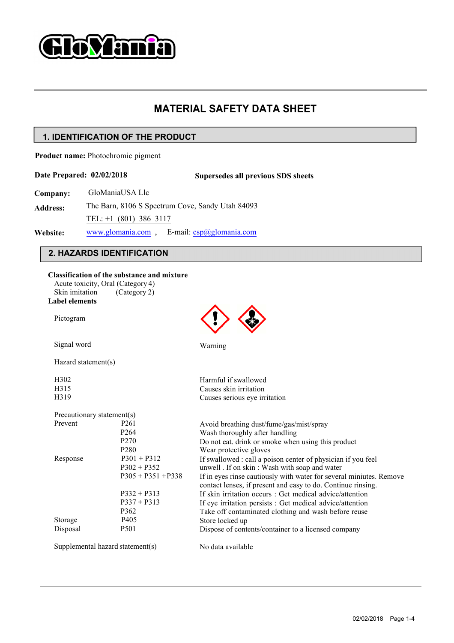

# **MATERIAL SAFETY DATA SHEET<br>PRODUCT**<br>Tht

**Product name:** Photochromic pigment

**Company:** GloManiaUSA Llc

**Address:** The Barn, 8106 S Spectrum Cove, Sandy Utah 84093 TEL: +1 (801) 386 3117 www.glomania.com , E-mail: csp@glomania.com

### **Website:**

|                                                        | . IDENTIFICATION OF THE PRODUCT                                                                  |                                                                                        |  |
|--------------------------------------------------------|--------------------------------------------------------------------------------------------------|----------------------------------------------------------------------------------------|--|
|                                                        | oduct name: Photochromic pigment                                                                 |                                                                                        |  |
|                                                        | te Prepared: 02/02/2018                                                                          | Supersedes all previous SDS sheets                                                     |  |
| mpany:                                                 | GloManiaUSA Llc                                                                                  |                                                                                        |  |
| dress:                                                 | The Barn, 8106 S Spectrum Cove, Sandy Utah 84093                                                 |                                                                                        |  |
|                                                        | TEL: +1 (801) 386 3117                                                                           |                                                                                        |  |
| www.glomania.com, E-mail: $csp@glomania.com$<br>bsite: |                                                                                                  |                                                                                        |  |
|                                                        | 2. HAZARDS IDENTIFICATION                                                                        |                                                                                        |  |
| Skin imitation<br><b>Label elements</b>                | Classification of the substance and mixture<br>Acute toxicity, Oral (Category 4)<br>(Category 2) |                                                                                        |  |
| Pictogram                                              |                                                                                                  |                                                                                        |  |
| Signal word                                            |                                                                                                  | Warning                                                                                |  |
|                                                        | Hazard statement(s)                                                                              |                                                                                        |  |
| H <sub>3</sub> 02                                      |                                                                                                  | Harmful if swallowed                                                                   |  |
| H315                                                   |                                                                                                  | Causes skin irritation                                                                 |  |
| H319                                                   |                                                                                                  | Causes serious eye irritation                                                          |  |
|                                                        | Precautionary statement(s)                                                                       |                                                                                        |  |
| Prevent                                                | P <sub>261</sub>                                                                                 | Avoid breathing dust/fume/gas/mist/spray                                               |  |
|                                                        | P <sub>264</sub>                                                                                 | Wash thoroughly after handling                                                         |  |
|                                                        | P <sub>270</sub><br>P <sub>280</sub>                                                             | Do not eat. drink or smoke when using this product                                     |  |
| Response                                               | $P301 + P312$                                                                                    | Wear protective gloves<br>If swallowed : call a poison center of physician if you feel |  |
|                                                        | $P302 + P352$                                                                                    | unwell. If on skin: Wash with soap and water                                           |  |
|                                                        | $P305 + P351 + P338$                                                                             | If in eyes rinse cautiously with water for several miniutes. Remove                    |  |
|                                                        |                                                                                                  | contact lenses, if present and easy to do. Continue rinsing.                           |  |
|                                                        | $P332 + P313$                                                                                    | If skin irritation occurs : Get medical advice/attention                               |  |
|                                                        | $P337 + P313$                                                                                    | If eye irritation persists : Get medical advice/attention                              |  |
|                                                        | P362                                                                                             | Take off contaminated clothing and wash before reuse                                   |  |
| Storage                                                | P405                                                                                             | Store locked up                                                                        |  |
| Disposal                                               | P501                                                                                             | Dispose of contents/container to a licensed company                                    |  |
|                                                        | Supplemental hazard statement(s)                                                                 | No data available                                                                      |  |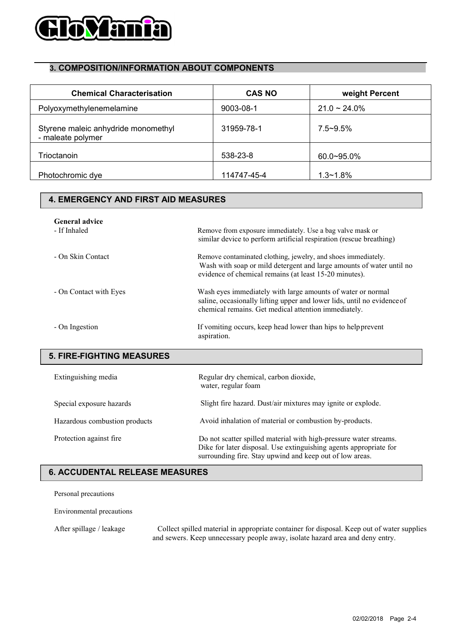

| <b>Hovania</b>                                           |                                                               |                                                                      |
|----------------------------------------------------------|---------------------------------------------------------------|----------------------------------------------------------------------|
|                                                          |                                                               |                                                                      |
| 3. COMPOSITION/INFORMATION ABOUT COMPONENTS              |                                                               |                                                                      |
| <b>Chemical Characterisation</b>                         | <b>CAS NO</b>                                                 | weight Percent                                                       |
| Polyoxymethylenemelamine                                 | 9003-08-1                                                     | $21.0 - 24.0\%$                                                      |
| Styrene maleic anhydride monomethyl<br>- maleate polymer | 31959-78-1                                                    | $7.5 - 9.5%$                                                         |
| Trioctanoin                                              | 538-23-8                                                      | 60.0~95.0%                                                           |
| Photochromic dye                                         | 114747-45-4                                                   | $1.3 - 1.8%$                                                         |
| <b>4. EMERGENCY AND FIRST AID MEASURES</b>               |                                                               |                                                                      |
| <b>General advice</b>                                    |                                                               |                                                                      |
| - If Inhaled                                             | Remove from exposure immediately. Use a bag valve mask or     | similar device to perform artificial respiration (rescue breathing)  |
| - On Skin Contact                                        | Remove contaminated clothing, jewelry, and shoes immediately. | Wash with soap or mild detergent and large amounts of water until no |

| yrene maleic anhydride monomethyl<br>naleate polymer | 31959-78-1                                                                                                                                                                                         | $7.5 - 9.5%$                                                                              |  |
|------------------------------------------------------|----------------------------------------------------------------------------------------------------------------------------------------------------------------------------------------------------|-------------------------------------------------------------------------------------------|--|
| ioctanoin                                            | 538-23-8                                                                                                                                                                                           | 60.0~95.0%                                                                                |  |
| notochromic dye                                      | 114747-45-4                                                                                                                                                                                        | $1.3 - 1.8%$                                                                              |  |
| <b>4. EMERGENCY AND FIRST AID MEASURES</b>           |                                                                                                                                                                                                    |                                                                                           |  |
| <b>General advice</b><br>- If Inhaled                | Remove from exposure immediately. Use a bag valve mask or<br>similar device to perform artificial respiration (rescue breathing)                                                                   |                                                                                           |  |
| - On Skin Contact                                    | Remove contaminated clothing, jewelry, and shoes immediately.<br>Wash with soap or mild detergent and large amounts of water until no<br>evidence of chemical remains (at least 15-20 minutes).    |                                                                                           |  |
| - On Contact with Eyes                               | Wash eyes immediately with large amounts of water or normal<br>saline, occasionally lifting upper and lower lids, until no evidence of<br>chemical remains. Get medical attention immediately.     |                                                                                           |  |
| - On Ingestion                                       | If vomiting occurs, keep head lower than hips to help prevent<br>aspiration.                                                                                                                       |                                                                                           |  |
| <b>5. FIRE-FIGHTING MEASURES</b>                     |                                                                                                                                                                                                    |                                                                                           |  |
| Extinguishing media                                  | Regular dry chemical, carbon dioxide,<br>water, regular foam                                                                                                                                       |                                                                                           |  |
| Special exposure hazards                             | Slight fire hazard. Dust/air mixtures may ignite or explode.                                                                                                                                       |                                                                                           |  |
| Hazardous combustion products                        | Avoid inhalation of material or combustion by-products.                                                                                                                                            |                                                                                           |  |
| Protection against fire                              | Do not scatter spilled material with high-pressure water streams.<br>Dike for later disposal. Use extinguishing agents appropriate for<br>surrounding fire. Stay upwind and keep out of low areas. |                                                                                           |  |
| <b>6. ACCUDENTAL RELEASE MEASURES</b>                |                                                                                                                                                                                                    |                                                                                           |  |
| Personal precautions                                 |                                                                                                                                                                                                    |                                                                                           |  |
| Environmental precautions                            |                                                                                                                                                                                                    |                                                                                           |  |
| $\Lambda$ fter enillage / leakage                    |                                                                                                                                                                                                    | Collect cpilled meterial in enpropriate container for disposal Keep out of water supplies |  |

 $\overline{\phantom{a}}$ 

| Special exposure hazards                                                                                                                                                                                | Slight fire hazard. Dust/air mixtures may ignite or explode.                                                                                                                                       |  |  |  |  |
|---------------------------------------------------------------------------------------------------------------------------------------------------------------------------------------------------------|----------------------------------------------------------------------------------------------------------------------------------------------------------------------------------------------------|--|--|--|--|
| Hazardous combustion products                                                                                                                                                                           | Avoid inhalation of material or combustion by-products.                                                                                                                                            |  |  |  |  |
| Protection against fire                                                                                                                                                                                 | Do not scatter spilled material with high-pressure water streams.<br>Dike for later disposal. Use extinguishing agents appropriate for<br>surrounding fire. Stay upwind and keep out of low areas. |  |  |  |  |
| <b>6. ACCUDENTAL RELEASE MEASURES</b>                                                                                                                                                                   |                                                                                                                                                                                                    |  |  |  |  |
| Personal precautions                                                                                                                                                                                    |                                                                                                                                                                                                    |  |  |  |  |
| Environmental precautions                                                                                                                                                                               |                                                                                                                                                                                                    |  |  |  |  |
| Collect spilled material in appropriate container for disposal. Keep out of water supplies<br>After spillage / leakage<br>and sewers. Keep unnecessary people away, isolate hazard area and deny entry. |                                                                                                                                                                                                    |  |  |  |  |
|                                                                                                                                                                                                         |                                                                                                                                                                                                    |  |  |  |  |
|                                                                                                                                                                                                         |                                                                                                                                                                                                    |  |  |  |  |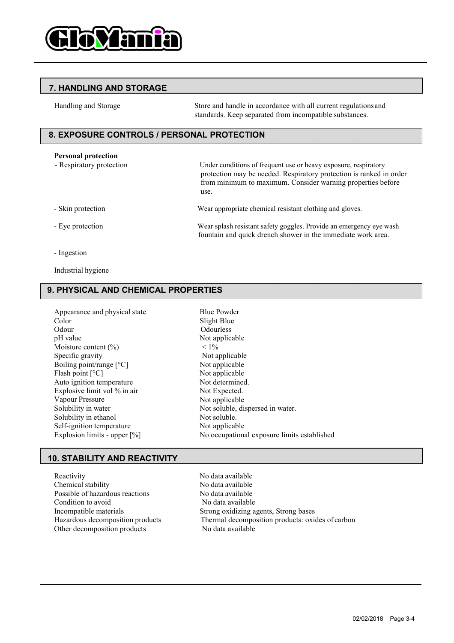

Store and handle in accordance with all current regulations and standards. Keep separated from incompatible substances.

## **PERSONAL PROBLEM STORAGE**<br> **Personal protection**<br>
Personal protection<br>
Personal protection<br>
Personal protection<br>
Personal protection<br>
Personal protection<br>
Personal protection<br>
Personal protection<br>
Personal protection<br>
Per

FRIMULING AND STORAGE<br>
Framdling and Storage<br>
Store and handle in accordance with all current regulations and<br>
standards. Keep separated from incompatible substances.<br>
EXPOSURE CONTROLS / PERSONAL PROTECTION<br>
Personal prot For each handle in accordance with all current regulations and<br>andards. Keep separated from incompatible substances.<br> **LE PROTECTION**<br>
Under conditions of frequent use or heavy exposure, respiratory<br>
protection may be need from minimum to maximum. Consider warning properties before use. Frame Store and handle in accordance with all current regulations and standards. Keep separated from incompatible substances.<br> **EXPOSURE CONTROLS / PERSONAL PROTECTION**<br>
Personal protection Mean splash resistant use or hea FOUNTROLS / PERSONAL PROTECTION<br>
Personal protection<br>
- Respiratory protection<br>
- Respiratory protection<br>
- Skin protection<br>
- Skin protection<br>
- Skin protection<br>
- Skin protection<br>
- Skin protection<br>
- Skin protection<br>
- Protection may be needed. Respiratory proferent may be needed. Respiratory proferent minimum to maximum. Consider was extended to the minimum of maximum consider was the protection wear appropriate chemical resistant safet

- 
- 
- 

## Personal protection<br>
- Respiratory protection<br>
I<br>
- Skin protection<br>
- Eye protection<br>
Where<br>
- Ingestion<br>
Industrial hygiene<br> **PHYSICAL AND CHEMICAL PROPER**

| - Skin protection                                                                                                                                                                                                                                                   | Wear appropriate chemical rea                                                                                                                                                                                           |  |
|---------------------------------------------------------------------------------------------------------------------------------------------------------------------------------------------------------------------------------------------------------------------|-------------------------------------------------------------------------------------------------------------------------------------------------------------------------------------------------------------------------|--|
| - Eye protection                                                                                                                                                                                                                                                    | Wear splash resistant safety go<br>fountain and quick drench sl                                                                                                                                                         |  |
| - Ingestion                                                                                                                                                                                                                                                         |                                                                                                                                                                                                                         |  |
| Industrial hygiene                                                                                                                                                                                                                                                  |                                                                                                                                                                                                                         |  |
| 9. PHYSICAL AND CHEMICAL PROPERTIES                                                                                                                                                                                                                                 |                                                                                                                                                                                                                         |  |
| Appearance and physical state<br>Color<br>Odour<br>pH value<br>Moisture content $(\%)$<br>Specific gravity<br>Boiling point/range $[°C]$<br>Flash point [°C]<br>Auto ignition temperature<br>Explosive limit vol % in air<br>Vapour Pressure<br>Solubility in water | <b>Blue Powder</b><br>Slight Blue<br>Odourless<br>Not applicable<br>$< 1\%$<br>Not applicable<br>Not applicable<br>Not applicable<br>Not determined.<br>Not Expected.<br>Not applicable<br>Not soluble, dispersed in wa |  |
| Solubility in ethanol<br>Self-ignition temperature<br>Explosion limits - upper $[\%]$                                                                                                                                                                               | Not soluble.<br>Not applicable<br>No occupational exposure l                                                                                                                                                            |  |
| <b>10. STABILITY AND REACTIVITY</b>                                                                                                                                                                                                                                 |                                                                                                                                                                                                                         |  |
| Reactivity<br>Chemical stability<br>Possible of hazardous reactions<br>Condition to avoid                                                                                                                                                                           | No data available<br>No data available<br>No data available<br>No data available                                                                                                                                        |  |

Slight Blue Odourless Not applicable  $< 1\%$ Not applicable Not applicable Not applicable Not determined. Not Expected. Not applicable Not soluble, dispersed in water. Not soluble. Not applicable No occupational exposure limits established Boiling point/range [°C]<br>
Reactivity intermeduced Auto ignition temperature<br>
Explosive limit vol % in air<br>
Explosive limit vol % in air<br>
Vapour Pressure<br>
Solubility in water<br>
Solubility in water<br>
Solubility in water<br>
Solub Flash point [°C]<br>
Mot applicable<br>
Auto ignition temperature<br>
Explosive limit vol % in air<br>
Vapour Pressure<br>
Solubility in water<br>
Solubility in water<br>
Solubility in ethanol<br>
Self-ignition temperature<br>
Self-ignition temperat Auto ignition temperature<br>
Explosive limit vol % in air<br>
Vol Apour Pressure<br>
Solubility in water<br>
Solubility in ethanol<br>
Solubility in ethanol<br>
Solubility in ethanol<br>
Self-ignition temperature<br>
Explosion limits - upper [%]

Explosive limit vol % in air<br>
Volt Expected.<br>
Solubility in water<br>
Solubility in ethanol<br>
Solubility in ethnol<br>
Self-ignition temperature<br>
Explosion limits - upper [%]<br>
No occupational exposure limits established<br>
Explosio Vapour Pressure<br>
Solubility in water<br>
Solubility in ethanol<br>
Striggittion temperature<br>
Striggittion temperature<br>
Striggittion temperature<br>
Incompatible materials<br>
Channel Strong bases<br>
Chemical stability<br>
Possible of hazar Solubility in entanol<br>
Solubility in entanol<br>
Self-ignition temperature<br>
Explosion limits - upper [%]<br>
The Explosion secure of the products<br>
Thermal decomposition products<br>
Thermal stability<br>
Chemical stability<br>
Chemical s Solubility in ethanol<br>
Self-ignition temperature<br>
Explosion limits - upper [%]<br> **D. STABILITY AND REACTIVITY**<br>
<br> **Reactivity**<br>
<br> **Reactivity**<br>
<br> **Reactivity**<br>
<br> **No data available**<br>
<br>
Chemical stability<br>
<br> **Possible of haz**